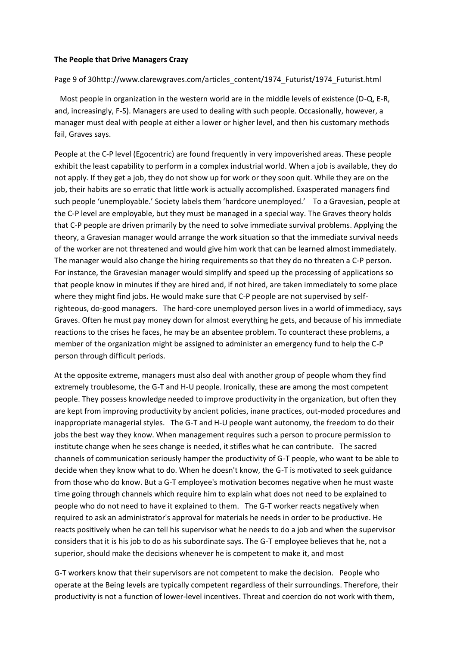## **The People that Drive Managers Crazy**

## Page 9 of 30http://www.clarewgraves.com/articles\_content/1974\_Futurist/1974\_Futurist.html

 Most people in organization in the western world are in the middle levels of existence (D-Q, E-R, and, increasingly, F-S). Managers are used to dealing with such people. Occasionally, however, a manager must deal with people at either a lower or higher level, and then his customary methods fail, Graves says.

People at the C-P level (Egocentric) are found frequently in very impoverished areas. These people exhibit the least capability to perform in a complex industrial world. When a job is available, they do not apply. If they get a job, they do not show up for work or they soon quit. While they are on the job, their habits are so erratic that little work is actually accomplished. Exasperated managers find such people 'unemployable.' Society labels them 'hardcore unemployed.' To a Gravesian, people at the C-P level are employable, but they must be managed in a special way. The Graves theory holds that C-P people are driven primarily by the need to solve immediate survival problems. Applying the theory, a Gravesian manager would arrange the work situation so that the immediate survival needs of the worker are not threatened and would give him work that can be learned almost immediately. The manager would also change the hiring requirements so that they do no threaten a C-P person. For instance, the Gravesian manager would simplify and speed up the processing of applications so that people know in minutes if they are hired and, if not hired, are taken immediately to some place where they might find jobs. He would make sure that C-P people are not supervised by selfrighteous, do-good managers. The hard-core unemployed person lives in a world of immediacy, says Graves. Often he must pay money down for almost everything he gets, and because of his immediate reactions to the crises he faces, he may be an absentee problem. To counteract these problems, a member of the organization might be assigned to administer an emergency fund to help the C-P person through difficult periods.

At the opposite extreme, managers must also deal with another group of people whom they find extremely troublesome, the G-T and H-U people. Ironically, these are among the most competent people. They possess knowledge needed to improve productivity in the organization, but often they are kept from improving productivity by ancient policies, inane practices, out-moded procedures and inappropriate managerial styles. The G-T and H-U people want autonomy, the freedom to do their jobs the best way they know. When management requires such a person to procure permission to institute change when he sees change is needed, it stifles what he can contribute. The sacred channels of communication seriously hamper the productivity of G-T people, who want to be able to decide when they know what to do. When he doesn't know, the G-T is motivated to seek guidance from those who do know. But a G-T employee's motivation becomes negative when he must waste time going through channels which require him to explain what does not need to be explained to people who do not need to have it explained to them. The G-T worker reacts negatively when required to ask an administrator's approval for materials he needs in order to be productive. He reacts positively when he can tell his supervisor what he needs to do a job and when the supervisor considers that it is his job to do as his subordinate says. The G-T employee believes that he, not a superior, should make the decisions whenever he is competent to make it, and most

G-T workers know that their supervisors are not competent to make the decision. People who operate at the Being levels are typically competent regardless of their surroundings. Therefore, their productivity is not a function of lower-level incentives. Threat and coercion do not work with them,